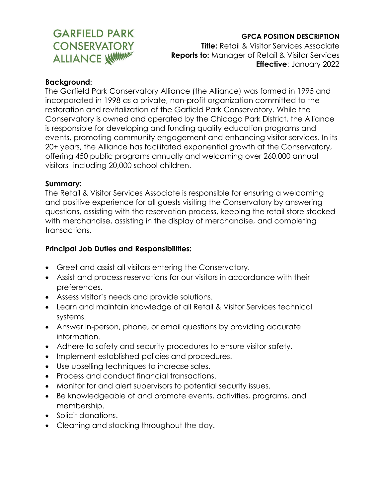# **GARFIELD PARK CONSERVATORY ALLIANCE WITHINK**

### **GPCA POSITION DESCRIPTION**

**Title:** Retail & Visitor Services Associate **Reports to:** Manager of Retail & Visitor Services **Effective**: January 2022

#### **Background:**

The Garfield Park Conservatory Alliance (the Alliance) was formed in 1995 and incorporated in 1998 as a private, non-profit organization committed to the restoration and revitalization of the Garfield Park Conservatory. While the Conservatory is owned and operated by the Chicago Park District, the Alliance is responsible for developing and funding quality education programs and events, promoting community engagement and enhancing visitor services. In its 20+ years, the Alliance has facilitated exponential growth at the Conservatory, offering 450 public programs annually and welcoming over 260,000 annual visitors--including 20,000 school children.

#### **Summary:**

The Retail & Visitor Services Associate is responsible for ensuring a welcoming and positive experience for all guests visiting the Conservatory by answering questions, assisting with the reservation process, keeping the retail store stocked with merchandise, assisting in the display of merchandise, and completing transactions.

#### **Principal Job Duties and Responsibilities:**

- Greet and assist all visitors entering the Conservatory.
- Assist and process reservations for our visitors in accordance with their preferences.
- Assess visitor's needs and provide solutions.
- Learn and maintain knowledge of all Retail & Visitor Services technical systems.
- Answer in-person, phone, or email questions by providing accurate information.
- Adhere to safety and security procedures to ensure visitor safety.
- Implement established policies and procedures.
- Use upselling techniques to increase sales.
- Process and conduct financial transactions.
- Monitor for and alert supervisors to potential security issues.
- Be knowledgeable of and promote events, activities, programs, and membership.
- Solicit donations.
- Cleaning and stocking throughout the day.